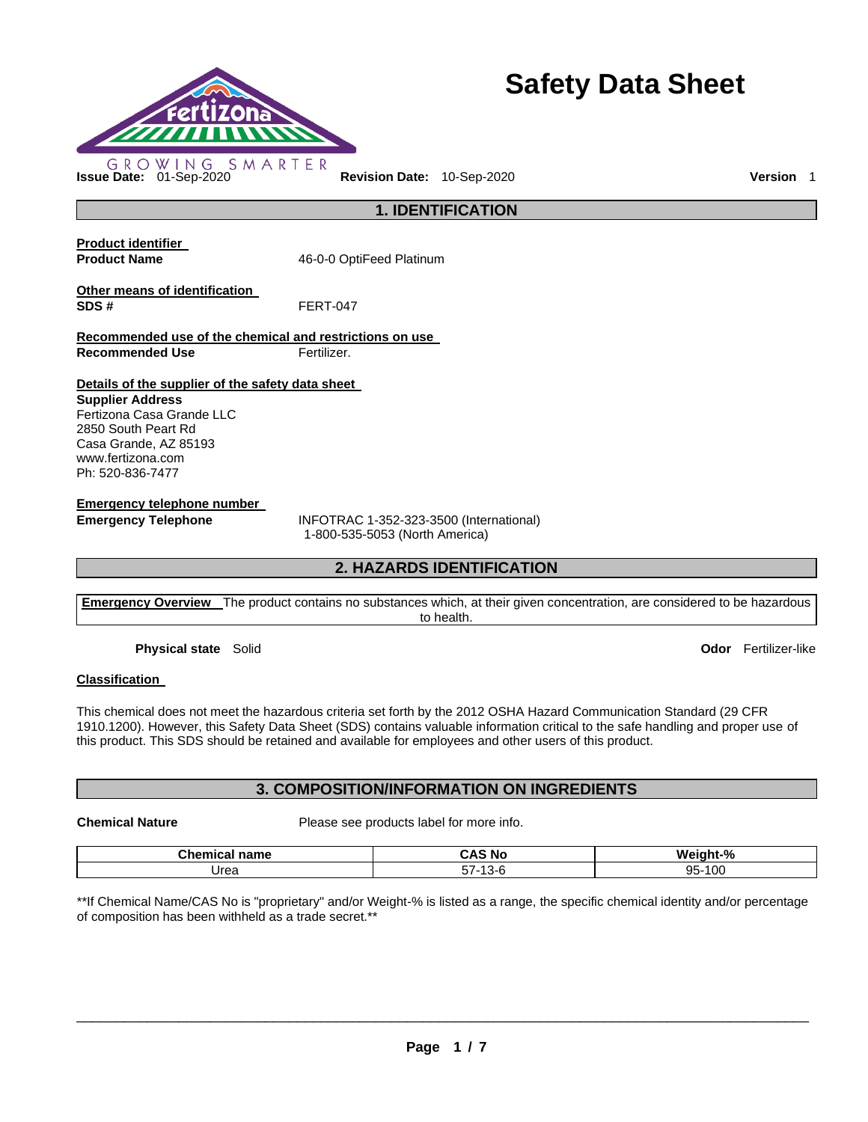

# **Safety Data Sheet**

**1. IDENTIFICATION** 

**Product identifier** 

**Product Name 16-0-0 OptiFeed Platinum** 

**Other means of identification SDS #** FERT-047

**Recommended use of the chemical and restrictions on use Recommended Use Fertilizer.** 

**Details of the supplier of the safety data sheet** 

**Supplier Address** Fertizona Casa Grande LLC 2850 South Peart Rd Casa Grande, AZ 85193 www.fertizona.com Ph: 520-836-7477

**Emergency telephone number** 

**Emergency Telephone** INFOTRAC 1-352-323-3500 (International) 1-800-535-5053 (North America)

# **2. HAZARDS IDENTIFICATION**

**Emergency Overview** The product contains no substances which, at their given concentration, are considered to be hazardous to health.

**Physical state** Solid **Odor** Fertilizer-like

# **Classification**

This chemical does not meet the hazardous criteria set forth by the 2012 OSHA Hazard Communication Standard (29 CFR 1910.1200). However, this Safety Data Sheet (SDS) contains valuable information critical to the safe handling and proper use of this product. This SDS should be retained and available for employees and other users of this product.

# **3. COMPOSITION/INFORMATION ON INGREDIENTS**

**Chemical Nature** Please see products label for more info.

| Chemical<br>name | ∼ л<br>N0<br>しハご             | $\mathbf{O}$<br>W٤<br>iaht<br>70 |
|------------------|------------------------------|----------------------------------|
| 'Jrea            | $- -$<br><br>ີ :<br>-ت.<br>ິ | ақ.<br>100<br>.UU<br>ວບ          |

\*\*If Chemical Name/CAS No is "proprietary" and/or Weight-% is listed as a range, the specific chemical identity and/or percentage of composition has been withheld as a trade secret.\*\*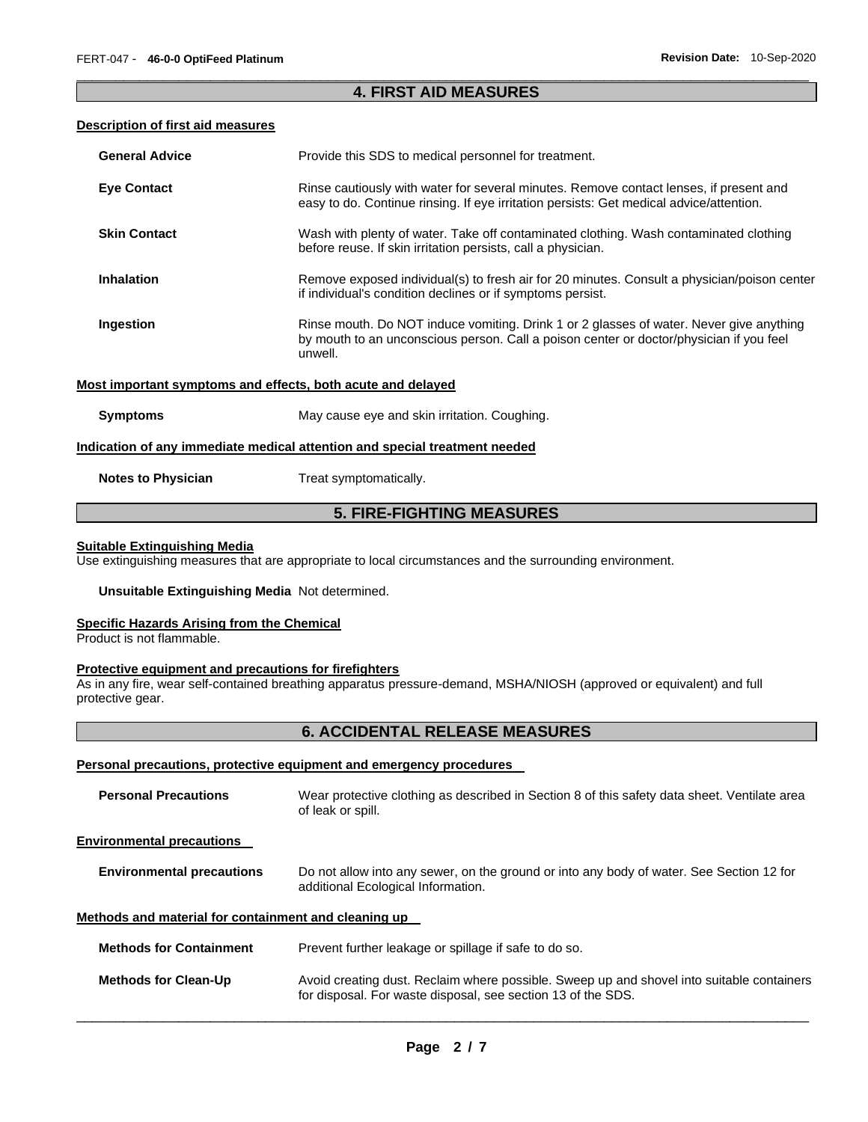# \_\_\_\_\_\_\_\_\_\_\_\_\_\_\_\_\_\_\_\_\_\_\_\_\_\_\_\_\_\_\_\_\_\_\_\_\_\_\_\_\_\_\_\_\_\_\_\_\_\_\_\_\_\_\_\_\_\_\_\_\_\_\_\_\_\_\_\_\_\_\_\_\_\_\_\_\_\_\_\_\_\_\_\_\_\_\_\_\_\_\_\_\_ **4. FIRST AID MEASURES**

### **Description of first aid measures**

| <b>General Advice</b>                                                      | Provide this SDS to medical personnel for treatment.                                                                                                                                          |  |  |
|----------------------------------------------------------------------------|-----------------------------------------------------------------------------------------------------------------------------------------------------------------------------------------------|--|--|
| <b>Eye Contact</b>                                                         | Rinse cautiously with water for several minutes. Remove contact lenses, if present and<br>easy to do. Continue rinsing. If eye irritation persists: Get medical advice/attention.             |  |  |
| <b>Skin Contact</b>                                                        | Wash with plenty of water. Take off contaminated clothing. Wash contaminated clothing<br>before reuse. If skin irritation persists, call a physician.                                         |  |  |
| <b>Inhalation</b>                                                          | Remove exposed individual(s) to fresh air for 20 minutes. Consult a physician/poison center<br>if individual's condition declines or if symptoms persist.                                     |  |  |
| Ingestion                                                                  | Rinse mouth. Do NOT induce vomiting. Drink 1 or 2 glasses of water. Never give anything<br>by mouth to an unconscious person. Call a poison center or doctor/physician if you feel<br>unwell. |  |  |
| Most important symptoms and effects, both acute and delayed                |                                                                                                                                                                                               |  |  |
| <b>Symptoms</b>                                                            | May cause eye and skin irritation. Coughing.                                                                                                                                                  |  |  |
| Indication of any immediate medical attention and special treatment needed |                                                                                                                                                                                               |  |  |
| <b>Notes to Physician</b>                                                  | Treat symptomatically.                                                                                                                                                                        |  |  |

# **5. FIRE-FIGHTING MEASURES**

# **Suitable Extinguishing Media**

Use extinguishing measures that are appropriate to local circumstances and the surrounding environment.

#### **Unsuitable Extinguishing Media** Not determined.

#### **Specific Hazards Arising from the Chemical**

Product is not flammable.

### **Protective equipment and precautions for firefighters**

As in any fire, wear self-contained breathing apparatus pressure-demand, MSHA/NIOSH (approved or equivalent) and full protective gear.

# **6. ACCIDENTAL RELEASE MEASURES**

#### **Personal precautions, protective equipment and emergency procedures**

| <b>Personal Precautions</b>                          | Wear protective clothing as described in Section 8 of this safety data sheet. Ventilate area<br>of leak or spill.                                         |  |
|------------------------------------------------------|-----------------------------------------------------------------------------------------------------------------------------------------------------------|--|
| <b>Environmental precautions</b>                     |                                                                                                                                                           |  |
| <b>Environmental precautions</b>                     | Do not allow into any sewer, on the ground or into any body of water. See Section 12 for<br>additional Ecological Information.                            |  |
| Methods and material for containment and cleaning up |                                                                                                                                                           |  |
| <b>Methods for Containment</b>                       | Prevent further leakage or spillage if safe to do so.                                                                                                     |  |
| <b>Methods for Clean-Up</b>                          | Avoid creating dust. Reclaim where possible. Sweep up and shovel into suitable containers<br>for disposal. For waste disposal, see section 13 of the SDS. |  |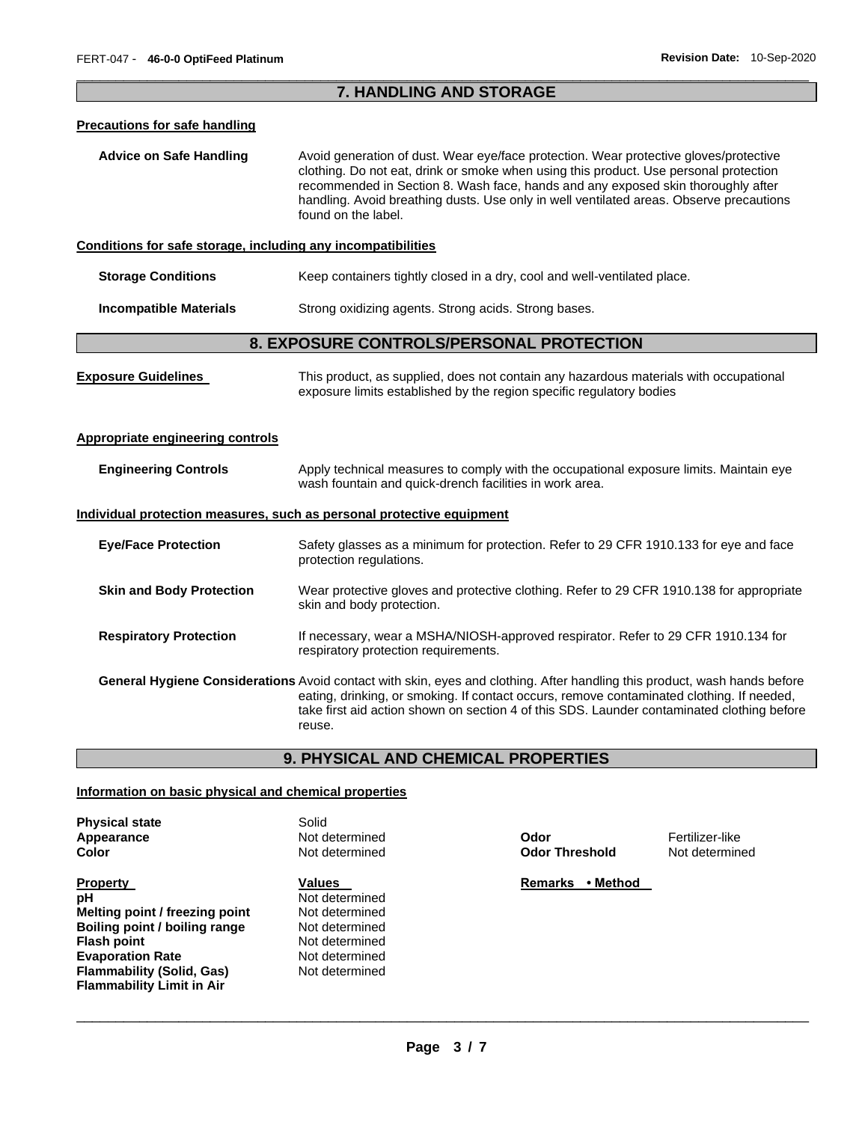# \_\_\_\_\_\_\_\_\_\_\_\_\_\_\_\_\_\_\_\_\_\_\_\_\_\_\_\_\_\_\_\_\_\_\_\_\_\_\_\_\_\_\_\_\_\_\_\_\_\_\_\_\_\_\_\_\_\_\_\_\_\_\_\_\_\_\_\_\_\_\_\_\_\_\_\_\_\_\_\_\_\_\_\_\_\_\_\_\_\_\_\_\_ **7. HANDLING AND STORAGE**

#### **Precautions for safe handling**

**Advice on Safe Handling** Avoid generation of dust. Wear eye/face protection. Wear protective gloves/protective clothing. Do not eat, drink or smoke when using this product. Use personal protection recommended in Section 8. Wash face, hands and any exposed skin thoroughly after handling. Avoid breathing dusts. Use only in well ventilated areas. Observe precautions found on the label.

### **Conditions for safe storage, including any incompatibilities**

| <b>Storage Conditions</b> | Keep containers tightly closed in a dry, cool and well-ventilated place. |  |
|---------------------------|--------------------------------------------------------------------------|--|
|---------------------------|--------------------------------------------------------------------------|--|

**Incompatible Materials Strong oxidizing agents. Strong acids. Strong bases.** 

# **8. EXPOSURE CONTROLS/PERSONAL PROTECTION**

| <b>Exposure Guidelines</b>                                            | This product, as supplied, does not contain any hazardous materials with occupational<br>exposure limits established by the region specific regulatory bodies                                                                                                                                                                         |  |  |
|-----------------------------------------------------------------------|---------------------------------------------------------------------------------------------------------------------------------------------------------------------------------------------------------------------------------------------------------------------------------------------------------------------------------------|--|--|
| Appropriate engineering controls                                      |                                                                                                                                                                                                                                                                                                                                       |  |  |
| <b>Engineering Controls</b>                                           | Apply technical measures to comply with the occupational exposure limits. Maintain eye<br>wash fountain and quick-drench facilities in work area.                                                                                                                                                                                     |  |  |
| Individual protection measures, such as personal protective equipment |                                                                                                                                                                                                                                                                                                                                       |  |  |
| <b>Eye/Face Protection</b>                                            | Safety glasses as a minimum for protection. Refer to 29 CFR 1910.133 for eye and face<br>protection regulations.                                                                                                                                                                                                                      |  |  |
| <b>Skin and Body Protection</b>                                       | Wear protective gloves and protective clothing. Refer to 29 CFR 1910.138 for appropriate<br>skin and body protection.                                                                                                                                                                                                                 |  |  |
| <b>Respiratory Protection</b>                                         | If necessary, wear a MSHA/NIOSH-approved respirator. Refer to 29 CFR 1910.134 for<br>respiratory protection requirements.                                                                                                                                                                                                             |  |  |
|                                                                       | <b>General Hygiene Considerations</b> Avoid contact with skin, eyes and clothing. After handling this product, wash hands before<br>eating, drinking, or smoking. If contact occurs, remove contaminated clothing. If needed,<br>take first aid action shown on section 4 of this SDS. Launder contaminated clothing before<br>reuse. |  |  |

# **9. PHYSICAL AND CHEMICAL PROPERTIES**

#### **Information on basic physical and chemical properties**

| <b>Physical state</b> | Solid  |
|-----------------------|--------|
| Appearance            | Not de |
| Color                 | Not de |

**Property Values Values Remarks • Method pH** Not determined **Melting point / freezing point** Not determined **Boiling point / boiling range** Not determined **Flash point** Not determined **Evaporation Rate Not determined Flammability (Solid, Gas)** Not determined **Flammability Limit in Air** 

- 
- 

**Appearance** Not determined **Odor** Fertilizer-like **Color** Not determined **Odor Threshold** Not determined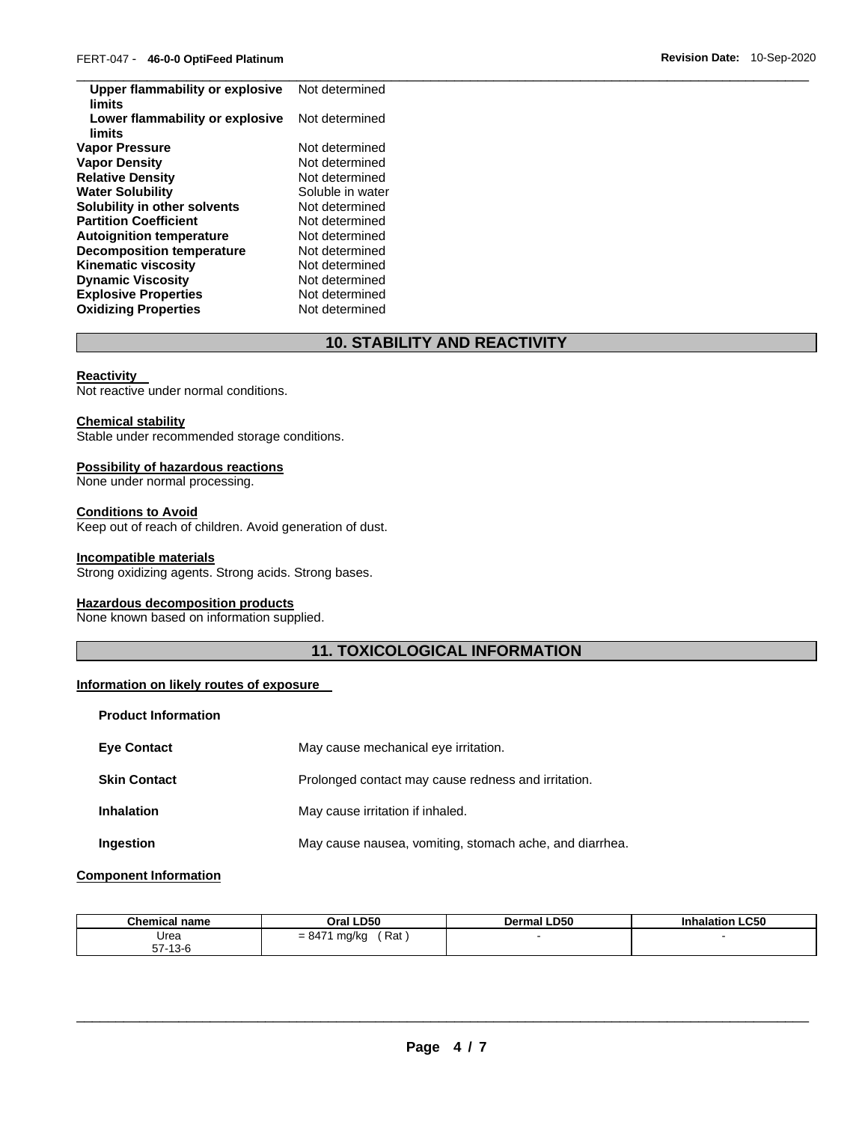| Upper flammability or explosive<br>limits | Not determined   |
|-------------------------------------------|------------------|
| Lower flammability or explosive<br>limits | Not determined   |
| Vapor Pressure                            | Not determined   |
| <b>Vapor Density</b>                      | Not determined   |
| <b>Relative Density</b>                   | Not determined   |
| <b>Water Solubility</b>                   | Soluble in water |
| Solubility in other solvents              | Not determined   |
| <b>Partition Coefficient</b>              | Not determined   |
| <b>Autoignition temperature</b>           | Not determined   |
| <b>Decomposition temperature</b>          | Not determined   |
| <b>Kinematic viscosity</b>                | Not determined   |
| <b>Dynamic Viscosity</b>                  | Not determined   |
| <b>Explosive Properties</b>               | Not determined   |
| <b>Oxidizing Properties</b>               | Not determined   |

# **10. STABILITY AND REACTIVITY**

#### **Reactivity**

Not reactive under normal conditions.

#### **Chemical stability**

Stable under recommended storage conditions.

# **Possibility of hazardous reactions**

None under normal processing.

# **Conditions to Avoid**

Keep out of reach of children. Avoid generation of dust.

#### **Incompatible materials**

Strong oxidizing agents. Strong acids. Strong bases.

# **Hazardous decomposition products**

None known based on information supplied.

# **11. TOXICOLOGICAL INFORMATION**

#### **Information on likely routes of exposure**

| <b>Product Information</b> |                                                         |
|----------------------------|---------------------------------------------------------|
| <b>Eve Contact</b>         | May cause mechanical eye irritation.                    |
| <b>Skin Contact</b>        | Prolonged contact may cause redness and irritation.     |
| <b>Inhalation</b>          | May cause irritation if inhaled.                        |
| Ingestion                  | May cause nausea, vomiting, stomach ache, and diarrhea. |

# **Component Information**

| <b>Chemical name</b>                      | <b>LD50</b>                        | <b>LD50</b> | <b>LC50</b> |
|-------------------------------------------|------------------------------------|-------------|-------------|
|                                           | วral                               | Dermal      | mation      |
| Urea<br>--<br>$\sqrt{2}$<br>I 3-0<br>- 10 | $= 847'$<br>Rat<br>mg/kg<br>$\sim$ |             |             |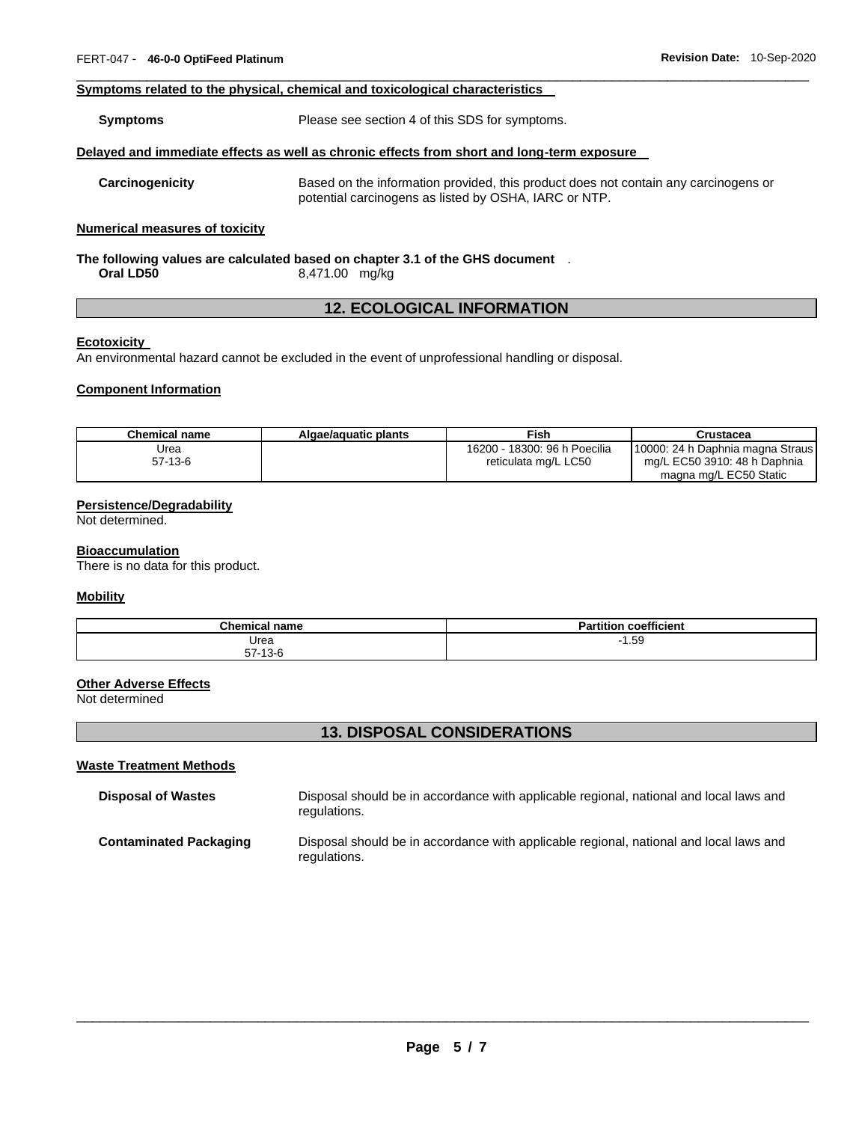#### **Symptoms related to the physical, chemical and toxicological characteristics**

**Symptoms** Please see section 4 of this SDS for symptoms.

#### **Delayed and immediate effects as well as chronic effects from short and long-term exposure**

**Carcinogenicity** Based on the information provided, this product does not contain any carcinogens or potential carcinogens as listed by OSHA, IARC or NTP.

\_\_\_\_\_\_\_\_\_\_\_\_\_\_\_\_\_\_\_\_\_\_\_\_\_\_\_\_\_\_\_\_\_\_\_\_\_\_\_\_\_\_\_\_\_\_\_\_\_\_\_\_\_\_\_\_\_\_\_\_\_\_\_\_\_\_\_\_\_\_\_\_\_\_\_\_\_\_\_\_\_\_\_\_\_\_\_\_\_\_\_\_\_

#### **Numerical measures of toxicity**

#### **The following values are calculated based on chapter 3.1 of the GHS document** . **Oral LD50** 8,471.00 mg/kg

# **12. ECOLOGICAL INFORMATION**

# **Ecotoxicity**

An environmental hazard cannot be excluded in the event of unprofessional handling or disposal.

#### **Component Information**

| Chemical name | Algae/aguatic plants | Fish                         | Crustacea                        |
|---------------|----------------------|------------------------------|----------------------------------|
| Urea          |                      | 16200 - 18300: 96 h Poecilia | 10000: 24 h Daphnia magna Straus |
| 57-13-6       |                      | reticulata mg/L LC50         | mg/L EC50 3910: 48 h Daphnia     |
|               |                      |                              | magna mg/L EC50 Static           |

# **Persistence/Degradability**

Not determined.

#### **Bioaccumulation**

There is no data for this product.

#### **Mobility**

| <b>Chemical name</b>          | coefficient<br>$\cdot$<br>ימם<br>'tition<br>а |
|-------------------------------|-----------------------------------------------|
| Urea                          | $\sim$<br>1.59                                |
| -7<br>$\sqrt{2}$<br>57 - 13-0 |                                               |

#### **Other Adverse Effects**

Not determined

# **13. DISPOSAL CONSIDERATIONS**

#### **Waste Treatment Methods**

| <b>Disposal of Wastes</b>     | Disposal should be in accordance with applicable regional, national and local laws and<br>regulations. |
|-------------------------------|--------------------------------------------------------------------------------------------------------|
| <b>Contaminated Packaging</b> | Disposal should be in accordance with applicable regional, national and local laws and<br>regulations. |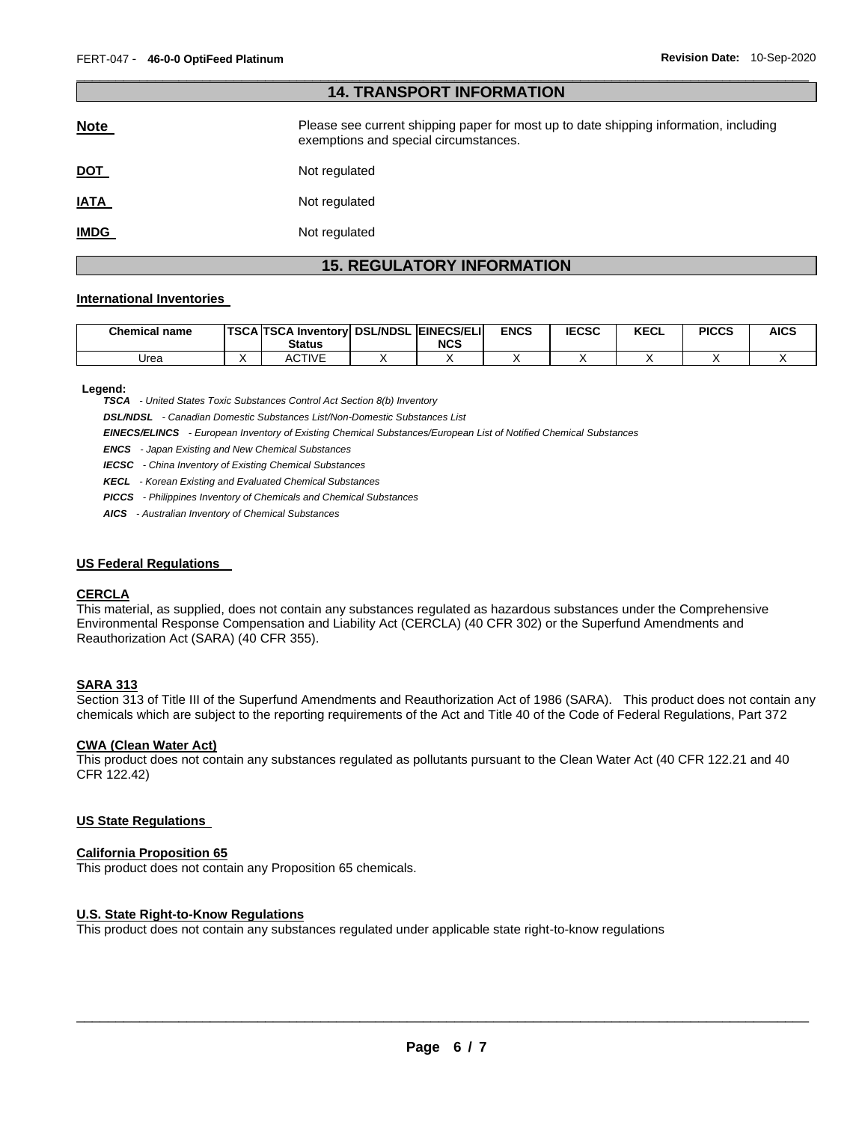| <b>14. TRANSPORT INFORMATION</b> |                                                                                                                                |  |  |  |  |  |
|----------------------------------|--------------------------------------------------------------------------------------------------------------------------------|--|--|--|--|--|
| <b>Note</b>                      | Please see current shipping paper for most up to date shipping information, including<br>exemptions and special circumstances. |  |  |  |  |  |
| <u>DOT</u>                       | Not regulated                                                                                                                  |  |  |  |  |  |
| <b>IATA</b>                      | Not regulated                                                                                                                  |  |  |  |  |  |
| <u>IMDG</u>                      | Not regulated                                                                                                                  |  |  |  |  |  |

\_\_\_\_\_\_\_\_\_\_\_\_\_\_\_\_\_\_\_\_\_\_\_\_\_\_\_\_\_\_\_\_\_\_\_\_\_\_\_\_\_\_\_\_\_\_\_\_\_\_\_\_\_\_\_\_\_\_\_\_\_\_\_\_\_\_\_\_\_\_\_\_\_\_\_\_\_\_\_\_\_\_\_\_\_\_\_\_\_\_\_\_\_

# **15. REGULATORY INFORMATION**

#### **International Inventories**

| <b>Chemical name</b> | TSCA TSCA Inventory DSL/NDSL EINECS/ELI<br><b>Status</b> | <b>NCS</b> | <b>ENCS</b> | <b>IECSC</b> | <b>KECL</b> | <b>PICCS</b> | <b>AICS</b> |
|----------------------|----------------------------------------------------------|------------|-------------|--------------|-------------|--------------|-------------|
| Urea                 | <b>ACTIVE</b>                                            |            |             |              |             |              |             |

#### **Legend:**

*TSCA - United States Toxic Substances Control Act Section 8(b) Inventory* 

*DSL/NDSL - Canadian Domestic Substances List/Non-Domestic Substances List* 

*EINECS/ELINCS - European Inventory of Existing Chemical Substances/European List of Notified Chemical Substances* 

*ENCS - Japan Existing and New Chemical Substances* 

*IECSC - China Inventory of Existing Chemical Substances* 

*KECL - Korean Existing and Evaluated Chemical Substances* 

*PICCS - Philippines Inventory of Chemicals and Chemical Substances* 

*AICS - Australian Inventory of Chemical Substances* 

#### **US Federal Regulations**

#### **CERCLA**

This material, as supplied, does not contain any substances regulated as hazardous substances under the Comprehensive Environmental Response Compensation and Liability Act (CERCLA) (40 CFR 302) or the Superfund Amendments and Reauthorization Act (SARA) (40 CFR 355).

#### **SARA 313**

Section 313 of Title III of the Superfund Amendments and Reauthorization Act of 1986 (SARA). This product does not contain any chemicals which are subject to the reporting requirements of the Act and Title 40 of the Code of Federal Regulations, Part 372

#### **CWA (Clean Water Act)**

This product does not contain any substances regulated as pollutants pursuant to the Clean Water Act (40 CFR 122.21 and 40 CFR 122.42)

#### **US State Regulations**

#### **California Proposition 65**

This product does not contain any Proposition 65 chemicals.

#### **U.S. State Right-to-Know Regulations**

This product does not contain any substances regulated under applicable state right-to-know regulations